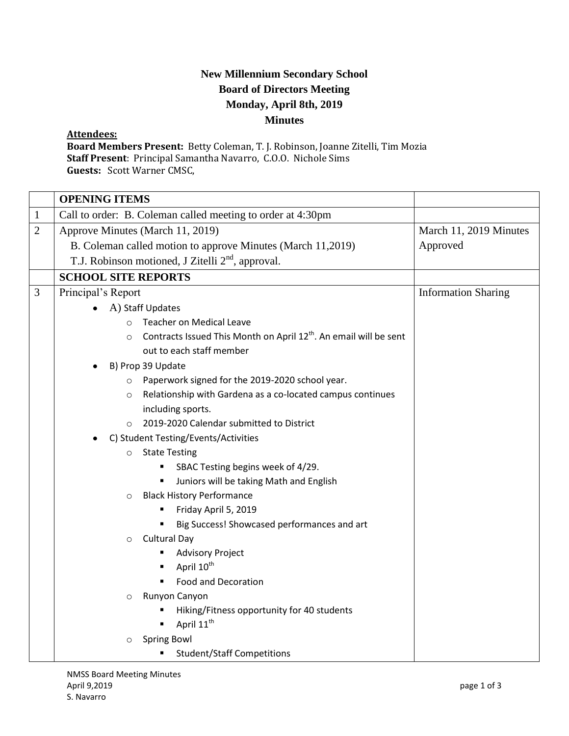## **New Millennium Secondary School Board of Directors Meeting Monday, April 8th, 2019 Minutes**

## **Attendees:**

**Board Members Present:** Betty Coleman, T. J. Robinson, Joanne Zitelli, Tim Mozia **Staff Present**: Principal Samantha Navarro, C.O.O. Nichole Sims **Guests:** Scott Warner CMSC,

|                | <b>OPENING ITEMS</b>                                                                     |                            |
|----------------|------------------------------------------------------------------------------------------|----------------------------|
| $\mathbf 1$    | Call to order: B. Coleman called meeting to order at 4:30pm                              |                            |
| $\overline{2}$ | Approve Minutes (March 11, 2019)                                                         | March 11, 2019 Minutes     |
|                | B. Coleman called motion to approve Minutes (March 11,2019)                              | Approved                   |
|                | T.J. Robinson motioned, J Zitelli 2 <sup>nd</sup> , approval.                            |                            |
|                | <b>SCHOOL SITE REPORTS</b>                                                               |                            |
| 3              | Principal's Report                                                                       | <b>Information Sharing</b> |
|                | A) Staff Updates                                                                         |                            |
|                | <b>Teacher on Medical Leave</b><br>$\circ$                                               |                            |
|                | Contracts Issued This Month on April 12 <sup>th</sup> . An email will be sent<br>$\circ$ |                            |
|                | out to each staff member                                                                 |                            |
|                | B) Prop 39 Update                                                                        |                            |
|                | Paperwork signed for the 2019-2020 school year.<br>$\circ$                               |                            |
|                | Relationship with Gardena as a co-located campus continues<br>$\circ$                    |                            |
|                | including sports.                                                                        |                            |
|                | 2019-2020 Calendar submitted to District<br>$\Omega$                                     |                            |
|                | C) Student Testing/Events/Activities                                                     |                            |
|                | <b>State Testing</b><br>$\circ$                                                          |                            |
|                | SBAC Testing begins week of 4/29.<br>٠                                                   |                            |
|                | Juniors will be taking Math and English                                                  |                            |
|                | <b>Black History Performance</b><br>$\circ$                                              |                            |
|                | Friday April 5, 2019<br>٠                                                                |                            |
|                | Big Success! Showcased performances and art<br>٠<br><b>Cultural Day</b>                  |                            |
|                | $\circ$<br><b>Advisory Project</b>                                                       |                            |
|                | April 10 <sup>th</sup>                                                                   |                            |
|                | <b>Food and Decoration</b>                                                               |                            |
|                | Runyon Canyon<br>$\circ$                                                                 |                            |
|                | Hiking/Fitness opportunity for 40 students                                               |                            |
|                | April 11 <sup>th</sup>                                                                   |                            |
|                | <b>Spring Bowl</b><br>$\circ$                                                            |                            |
|                | <b>Student/Staff Competitions</b>                                                        |                            |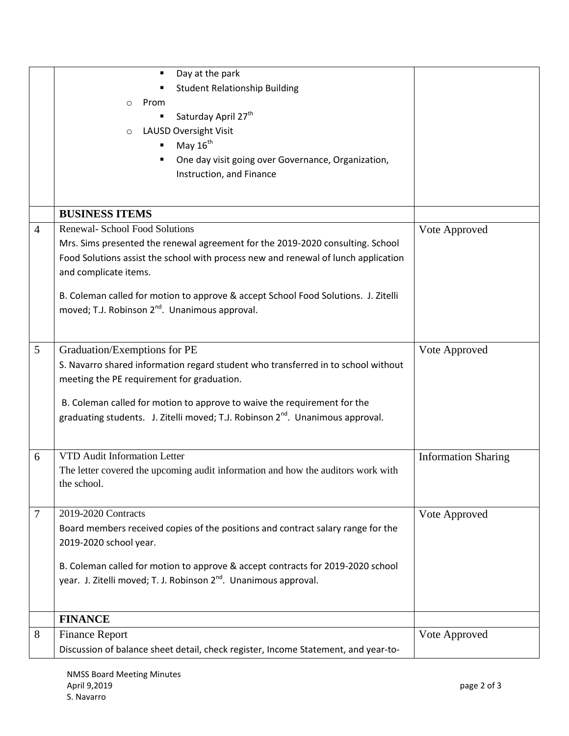|                | Day at the park<br>$\blacksquare$                                                          |                            |
|----------------|--------------------------------------------------------------------------------------------|----------------------------|
|                | <b>Student Relationship Building</b>                                                       |                            |
|                | Prom<br>$\circ$                                                                            |                            |
|                | Saturday April 27 <sup>th</sup>                                                            |                            |
|                | <b>LAUSD Oversight Visit</b><br>$\circ$                                                    |                            |
|                | May 16 <sup>th</sup><br>П                                                                  |                            |
|                | One day visit going over Governance, Organization,<br>в                                    |                            |
|                | Instruction, and Finance                                                                   |                            |
|                |                                                                                            |                            |
|                | <b>BUSINESS ITEMS</b>                                                                      |                            |
| $\overline{4}$ | <b>Renewal- School Food Solutions</b>                                                      | Vote Approved              |
|                | Mrs. Sims presented the renewal agreement for the 2019-2020 consulting. School             |                            |
|                | Food Solutions assist the school with process new and renewal of lunch application         |                            |
|                | and complicate items.                                                                      |                            |
|                | B. Coleman called for motion to approve & accept School Food Solutions. J. Zitelli         |                            |
|                | moved; T.J. Robinson 2 <sup>nd</sup> . Unanimous approval.                                 |                            |
|                |                                                                                            |                            |
|                |                                                                                            |                            |
| 5              | Graduation/Exemptions for PE                                                               | Vote Approved              |
|                | S. Navarro shared information regard student who transferred in to school without          |                            |
|                | meeting the PE requirement for graduation.                                                 |                            |
|                |                                                                                            |                            |
|                | B. Coleman called for motion to approve to waive the requirement for the                   |                            |
|                | graduating students. J. Zitelli moved; T.J. Robinson 2 <sup>nd</sup> . Unanimous approval. |                            |
|                |                                                                                            |                            |
| 6              | VTD Audit Information Letter                                                               | <b>Information Sharing</b> |
|                | The letter covered the upcoming audit information and how the auditors work with           |                            |
|                | the school.                                                                                |                            |
|                |                                                                                            |                            |
| 7              | 2019-2020 Contracts                                                                        | Vote Approved              |
|                | Board members received copies of the positions and contract salary range for the           |                            |
|                | 2019-2020 school year.                                                                     |                            |
|                | B. Coleman called for motion to approve & accept contracts for 2019-2020 school            |                            |
|                | year. J. Zitelli moved; T. J. Robinson 2 <sup>nd</sup> . Unanimous approval.               |                            |
|                |                                                                                            |                            |
|                | <b>FINANCE</b>                                                                             |                            |
|                |                                                                                            |                            |
| 8              | <b>Finance Report</b>                                                                      | Vote Approved              |
|                | Discussion of balance sheet detail, check register, Income Statement, and year-to-         |                            |